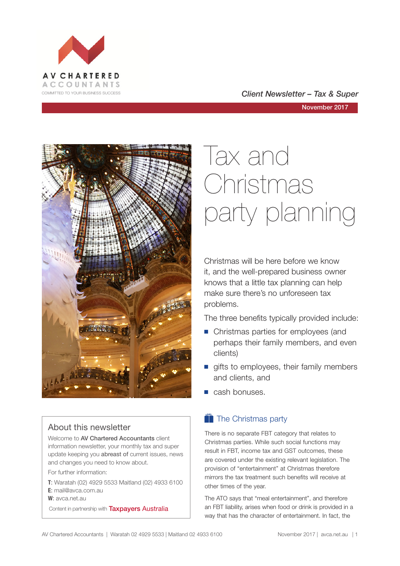

#### COMMITTED TO YOUR BUSINESS SUCCESS **COMMITTED TO YOUR BUSINESS SUCCESS**

November 2017



#### About this newsletter

Welcome to AV Chartered Accountants client information newsletter, your monthly tax and super update keeping you abreast of current issues, news and changes you need to know about.

For further information:

**T**: Waratah (02) 4929 5533 Maitland (02) 4933 6100 **E**: mail@avca.com.au

**W**: avca.net.au

Content in partnership with **Taxpayers Australia** 

# Tax and Christmas party planning

Christmas will be here before we know it, and the well-prepared business owner knows that a little tax planning can help make sure there's no unforeseen tax problems.

The three benefits typically provided include:

- Christmas parties for employees (and perhaps their family members, and even clients)
- $\blacksquare$  gifts to employees, their family members and clients, and
- $\blacksquare$  cash bonuses.

### $\bullet$  The Christmas party

There is no separate FBT category that relates to Christmas parties. While such social functions may result in FBT, income tax and GST outcomes, these are covered under the existing relevant legislation. The provision of "entertainment" at Christmas therefore mirrors the tax treatment such benefits will receive at other times of the year.

The ATO says that "meal entertainment", and therefore an FBT liability, arises when food or drink is provided in a way that has the character of entertainment. In fact, the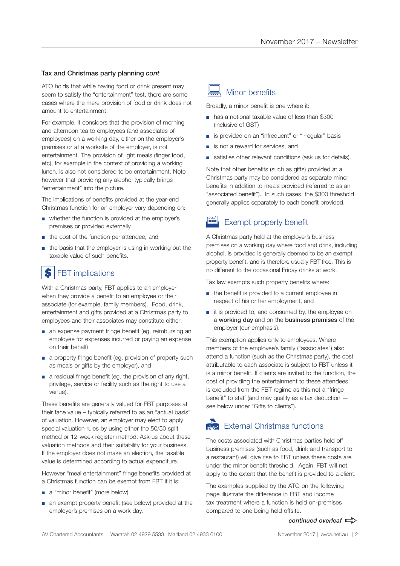#### Tax and Christmas party planning *cont*

ATO holds that while having food or drink present may seem to satisfy the "entertainment" test, there are some cases where the mere provision of food or drink does not amount to entertainment.

For example, it considers that the provision of morning and afternoon tea to employees (and associates of employees) on a working day, either on the employer's premises or at a worksite of the employer, is not entertainment. The provision of light meals (finger food, etc), for example in the context of providing a working lunch, is also not considered to be entertainment. Note however that providing any alcohol typically brings "entertainment" into the picture.

The implications of benefits provided at the year-end Christmas function for an employer vary depending on:

- whether the function is provided at the employer's premises or provided externally
- the cost of the function per attendee, and
- the basis that the employer is using in working out the taxable value of such benefits.

#### FBT implications \$

With a Christmas party, FBT applies to an employer when they provide a benefit to an employee or their associate (for example, family members). Food, drink, entertainment and gifts provided at a Christmas party to employees and their associates may constitute either:

- an expense payment fringe benefit (eg. reimbursing an employee for expenses incurred or paying an expense on their behalf)
- a property fringe benefit (eq. provision of property such as meals or gifts by the employer), and
- a residual fringe benefit (eg. the provision of any right, privilege, service or facility such as the right to use a venue).

These benefits are generally valued for FBT purposes at their face value – typically referred to as an "actual basis" of valuation. However, an employer may elect to apply special valuation rules by using either the 50/50 split method or 12-week register method. Ask us about these valuation methods and their suitability for your business. If the employer does not make an election, the taxable value is determined according to actual expenditure.

However "meal entertainment" fringe benefits provided at a Christmas function can be exempt from FBT if it is:

- a "minor benefit" (more below)
- an exempt property benefit (see below) provided at the employer's premises on a work day.

#### Minor benefits

Broadly, a minor benefit is one where it:

- has a notional taxable value of less than \$300 (inclusive of GST)
- is provided on an "infrequent" or "irregular" basis
- is not a reward for services, and
- satisfies other relevant conditions (ask us for details).

Note that other benefits (such as gifts) provided at a Christmas party may be considered as separate minor benefits in addition to meals provided (referred to as an "associated benefit"). In such cases, the \$300 threshold generally applies separately to each benefit provided.

#### Exempt property benefit

A Christmas party held at the employer's business premises on a working day where food and drink, including alcohol, is provided is generally deemed to be an exempt property benefit, and is therefore usually FBT-free. This is no different to the occasional Friday drinks at work.

Tax law exempts such property benefits where:

- the benefit is provided to a current employee in respect of his or her employment, and
- it is provided to, and consumed by, the employee on a working day and on the business premises of the employer (our emphasis).

This exemption applies only to employees. Where members of the employee's family ("associates") also attend a function (such as the Christmas party), the cost attributable to each associate is subject to FBT unless it is a minor benefit. If clients are invited to the function, the cost of providing the entertainment to these attendees is excluded from the FBT regime as this not a "fringe benefit" to staff (and may qualify as a tax deduction see below under "Gifts to clients").

#### $\sum$  External Christmas functions

The costs associated with Christmas parties held off business premises (such as food, drink and transport to a restaurant) will give rise to FBT unless these costs are under the minor benefit threshold. Again, FBT will not apply to the extent that the benefit is provided to a client.

The examples supplied by the ATO on the following page illustrate the difference in FBT and income tax treatment where a function is held on-premises compared to one being held offsite.

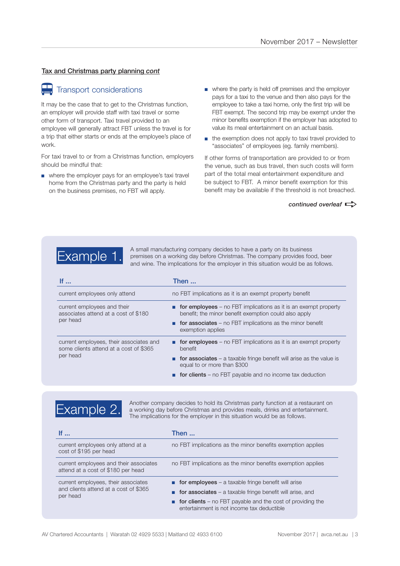#### Tax and Christmas party planning *cont*

# **Transport considerations**

It may be the case that to get to the Christmas function, an employer will provide staff with taxi travel or some other form of transport. Taxi travel provided to an employee will generally attract FBT unless the travel is for a trip that either starts or ends at the employee's place of work.

For taxi travel to or from a Christmas function, employers should be mindful that:

- where the employer pays for an employee's taxi travel home from the Christmas party and the party is held on the business premises, no FBT will apply.
- where the party is held off premises and the employer pays for a taxi to the venue and then also pays for the employee to take a taxi home, only the first trip will be FBT exempt. The second trip may be exempt under the minor benefits exemption if the employer has adopted to value its meal entertainment on an actual basis.
- the exemption does not apply to taxi travel provided to "associates" of employees (eg. family members).

If other forms of transportation are provided to or from the venue, such as bus travel, then such costs will form part of the total meal entertainment expenditure and be subject to FBT. A minor benefit exemption for this benefit may be available if the threshold is not breached.

*continued overleaf*  $\Rightarrow$ 



Example 1. A small manufacturing company decides to have a party on its business<br>
premises on a working day before Christmas. The company provides food, beer<br>
premises on a working day before Christmas. The company provide and wine. The implications for the employer in this situation would be as follows.

| If $\ldots$                                                                                   | Then                                                                                                                            |
|-----------------------------------------------------------------------------------------------|---------------------------------------------------------------------------------------------------------------------------------|
| current employees only attend                                                                 | no FBT implications as it is an exempt property benefit                                                                         |
| current employees and their<br>associates attend at a cost of \$180<br>per head               | <b>for employees</b> – no FBT implications as it is an exempt property<br>benefit; the minor benefit exemption could also apply |
|                                                                                               | <b>n</b> for associates – no FBT implications as the minor benefit<br>exemption applies                                         |
| current employees, their associates and<br>some clients attend at a cost of \$365<br>per head | <b>for employees</b> – no FBT implications as it is an exempt property<br>benefit                                               |
|                                                                                               | <b>for associates</b> – a taxable fringe benefit will arise as the value is<br>equal to or more than \$300                      |
|                                                                                               | <b>for clients</b> – no FBT payable and no income tax deduction                                                                 |



Another company decides to hold its Christmas party function at a restaurant on a working day before Christmas and provides meals, drinks and entertainment. The implications for the employer in this situation would be as follows.

| lf                                                                                       | Then                                                                                                                    |
|------------------------------------------------------------------------------------------|-------------------------------------------------------------------------------------------------------------------------|
| current employees only attend at a<br>cost of \$195 per head                             | no FBT implications as the minor benefits exemption applies                                                             |
| current employees and their associates<br>attend at a cost of \$180 per head             | no FBT implications as the minor benefits exemption applies                                                             |
| current employees, their associates<br>and clients attend at a cost of \$365<br>per head | <b>n</b> for employees – a taxable fringe benefit will arise                                                            |
|                                                                                          | for associates $-$ a taxable fringe benefit will arise, and                                                             |
|                                                                                          | $\blacksquare$ for clients – no FBT payable and the cost of providing the<br>entertainment is not income tax deductible |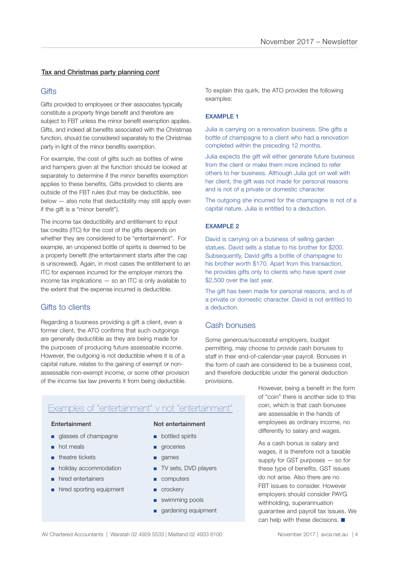#### Tax and Christmas party planning *cont*

#### **Gifts**

Gifts provided to employees or their associates typically constitute a property fringe benefit and therefore are subject to FBT unless the minor benefit exemption applies. Gifts, and indeed all benefits associated with the Christmas function, should be considered separately to the Christmas party in light of the minor benefits exemption.

For example, the cost of gifts such as bottles of wine and hampers given at the function should be looked at separately to determine if the minor benefits exemption applies to these benefits. Gifts provided to clients are outside of the FBT rules (but may be deductible, see below — also note that deductibility may still apply even if the gift is a "minor benefit").

The income tax deductibility and entitlement to input tax credits (ITC) for the cost of the gifts depends on whether they are considered to be "entertainment". For example, an unopened bottle of spirits is deemed to be a property benefit (the entertainment starts after the cap is unscrewed). Again, in most cases the entitlement to an ITC for expenses incurred for the employer mirrors the income tax implications — so an ITC is only available to the extent that the expense incurred is deductible.

#### Gifts to clients

Regarding a business providing a gift a client, even a former client, the ATO confirms that such outgoings are generally deductible as they are being made for the purposes of producing future assessable income. However, the outgoing is not deductible where it is of a capital nature, relates to the gaining of exempt or nonassessable non-exempt income, or some other provision of the income tax law prevents it from being deductible.

To explain this quirk, the ATO provides the following examples:

#### EXAMPLE 1

Julia is carrying on a renovation business. She gifts a bottle of champagne to a client who had a renovation completed within the preceding 12 months.

Julia expects the gift will either generate future business from the client or make them more inclined to refer others to her business. Although Julia got on well with her client, the gift was not made for personal reasons and is not of a private or domestic character.

The outgoing she incurred for the champagne is not of a capital nature. Julia is entitled to a deduction.

#### EXAMPLE 2

David is carrying on a business of selling garden statues. David sells a statue to his brother for \$200. Subsequently. David gifts a bottle of champagne to his brother worth \$170. Apart from this transaction, he provides gifts only to clients who have spent over \$2,500 over the last year.

The gift has been made for personal reasons, and is of a private or domestic character. David is not entitled to a deduction.

#### Cash bonuses

Some generous/successful employers, budget permitting, may choose to provide cash bonuses to staff in their end-of-calendar-year payroll. Bonuses in the form of cash are considered to be a business cost, and therefore deductible under the general deduction provisions.

#### Examples of "entertainment" v not "entertainment"

- glasses of champagne
- hot meals
- theatre tickets
- holiday accommodation
- hired entertainers
- hired sporting equipment

#### Entertainment Not entertainment

- bottled spirits
- groceries
- games
- TV sets, DVD players
- computers
- crockery
- swimming pools
- gardening equipment

However, being a benefit in the form of "coin" there is another side to this coin, which is that cash bonuses are assessable in the hands of employees as ordinary income, no differently to salary and wages.

As a cash bonus is salary and wages, it is therefore not a taxable supply for GST purposes — so for these type of benefits, GST issues do not arise. Also there are no FBT issues to consider. However employers should consider PAYG withholding, superannuation guarantee and payroll tax issues. We can help with these decisions.  $\blacksquare$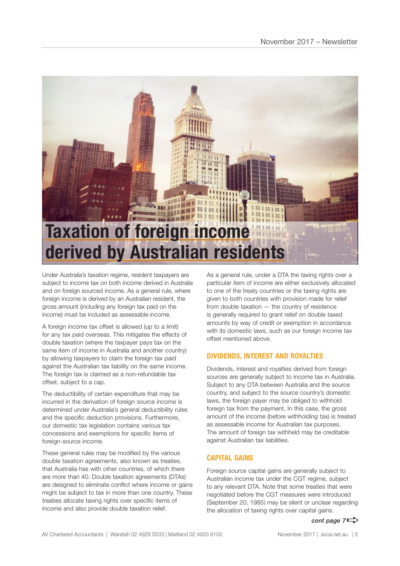

Under Australia's taxation regime, resident taxpayers are subject to income tax on both income derived in Australia and on foreign sourced income. As a general rule, where foreign income is derived by an Australian resident, the gross amount (including any foreign tax paid on the income) must be included as assessable income.

A foreign income tax offset is allowed (up to a limit) for any tax paid overseas. This mitigates the effects of double taxation (where the taxpayer pays tax on the same item of income in Australia and another country) by allowing taxpayers to claim the foreign tax paid against the Australian tax liability on the same income. The foreign tax is claimed as a non-refundable tax offset, subject to a cap.

The deductibility of certain expenditure that may be incurred in the derivation of foreign source income is determined under Australia's general deductibility rules and the specific deduction provisions. Furthermore, our domestic tax legislation contains various tax concessions and exemptions for specific items of foreign-source income.

These general rules may be modified by the various double taxation agreements, also known as treaties, that Australia has with other countries, of which there are more than 40. Double taxation agreements (DTAs) are designed to eliminate conflict where income or gains might be subject to tax in more than one country. These treaties allocate taxing rights over specific items of income and also provide double taxation relief.

As a general rule, under a DTA the taxing rights over a particular item of income are either exclusively allocated to one of the treaty countries or the taxing rights are given to both countries with provision made for relief from double taxation — the country of residence is generally required to grant relief on double taxed amounts by way of credit or exemption in accordance with its domestic laws, such as our foreign income tax offset mentioned above.

#### **DIVIDENDS, INTEREST AND ROYALTIES**

Dividends, interest and royalties derived from foreign sources are generally subject to income tax in Australia. Subject to any DTA between Australia and the source country, and subject to the source country's domestic laws, the foreign payer may be obliged to withhold foreign tax from the payment. In this case, the gross amount of the income (before withholding tax) is treated as assessable income for Australian tax purposes. The amount of foreign tax withheld may be creditable against Australian tax liabilities.

#### **CAPITAL GAINS**

Foreign source capital gains are generally subject to Australian income tax under the CGT regime, subject to any relevant DTA. Note that some treaties that were negotiated before the CGT measures were introduced (September 20, 1985) may be silent or unclear regarding the allocation of taxing rights over capital gains.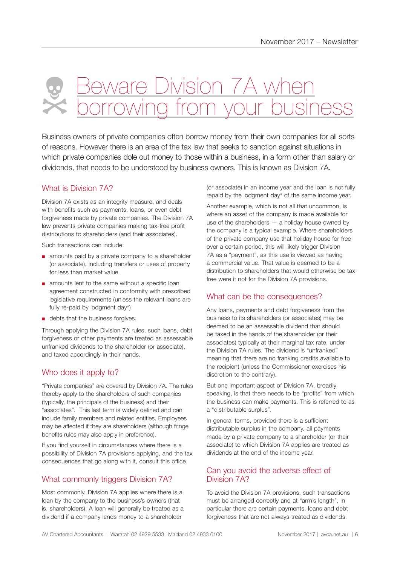## eware Division 7A w  $\overline{\wedge}$ Xeo

Business owners of private companies often borrow money from their own companies for all sorts of reasons. However there is an area of the tax law that seeks to sanction against situations in which private companies dole out money to those within a business, in a form other than salary or dividends, that needs to be understood by business owners. This is known as Division 7A.

#### What is Division 7A?

Division 7A exists as an integrity measure, and deals with benefits such as payments, loans, or even debt forgiveness made by private companies. The Division 7A law prevents private companies making tax-free profit distributions to shareholders (and their associates).

Such transactions can include:

- amounts paid by a private company to a shareholder (or associate), including transfers or uses of property for less than market value
- amounts lent to the same without a specific loan agreement constructed in conformity with prescribed legislative requirements (unless the relevant loans are fully re-paid by lodgment day\*)
- debts that the business forgives.

Through applying the Division 7A rules, such loans, debt forgiveness or other payments are treated as assessable unfranked dividends to the shareholder (or associate), and taxed accordingly in their hands.

#### Who does it apply to?

"Private companies" are covered by Division 7A. The rules thereby apply to the shareholders of such companies (typically, the principals of the business) and their "associates". This last term is widely defined and can include family members and related entities. Employees may be affected if they are shareholders (although fringe benefits rules may also apply in preference).

If you find yourself in circumstances where there is a possibility of Division 7A provisions applying, and the tax consequences that go along with it, consult this office.

#### What commonly triggers Division 7A?

Most commonly, Division 7A applies where there is a loan by the company to the business's owners (that is, shareholders). A loan will generally be treated as a dividend if a company lends money to a shareholder

(or associate) in an income year and the loan is not fully repaid by the lodgment day\* of the same income year.

Another example, which is not all that uncommon, is where an asset of the company is made available for use of the shareholders — a holiday house owned by the company is a typical example. Where shareholders of the private company use that holiday house for free over a certain period, this will likely trigger Division 7A as a "payment", as this use is viewed as having a commercial value. That value is deemed to be a distribution to shareholders that would otherwise be taxfree were it not for the Division 7A provisions.

#### What can be the consequences?

Any loans, payments and debt forgiveness from the business to its shareholders (or associates) may be deemed to be an assessable dividend that should be taxed in the hands of the shareholder (or their associates) typically at their marginal tax rate, under the Division 7A rules. The dividend is "unfranked" meaning that there are no franking credits available to the recipient (unless the Commissioner exercises his discretion to the contrary).

But one important aspect of Division 7A, broadly speaking, is that there needs to be "profits" from which the business can make payments. This is referred to as a "distributable surplus".

In general terms, provided there is a sufficient distributable surplus in the company, all payments made by a private company to a shareholder (or their associate) to which Division 7A applies are treated as dividends at the end of the income year.

#### Can you avoid the adverse effect of Division 7A?

To avoid the Division 7A provisions, such transactions must be arranged correctly and at "arm's length". In particular there are certain payments, loans and debt forgiveness that are not always treated as dividends.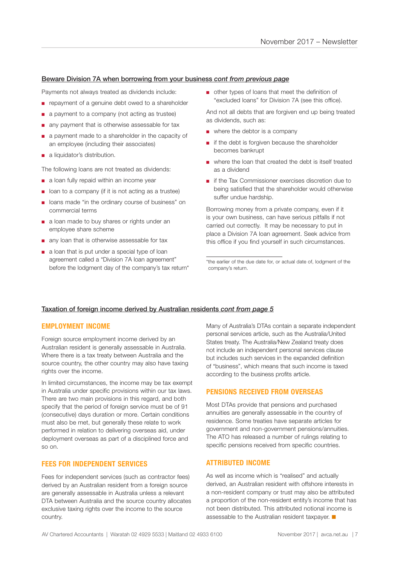#### Beware Division 7A when borrowing from your business *cont from previous page*

Payments not always treated as dividends include:

- repayment of a genuine debt owed to a shareholder
- a payment to a company (not acting as trustee)
- any payment that is otherwise assessable for tax
- a payment made to a shareholder in the capacity of an employee (including their associates)
- a liquidator's distribution.

The following loans are not treated as dividends:

- a loan fully repaid within an income year
- loan to a company (if it is not acting as a trustee)
- loans made "in the ordinary course of business" on commercial terms
- a loan made to buy shares or rights under an employee share scheme
- any loan that is otherwise assessable for tax
- a loan that is put under a special type of loan agreement called a "Division 7A loan agreement" before the lodgment day of the company's tax return\*

■ other types of loans that meet the definition of "excluded loans" for Division 7A (see this office).

And not all debts that are forgiven end up being treated as dividends, such as:

- where the debtor is a company
- if the debt is forgiven because the shareholder becomes bankrupt
- where the loan that created the debt is itself treated as a dividend
- if the Tax Commissioner exercises discretion due to being satisfied that the shareholder would otherwise suffer undue hardship.

Borrowing money from a private company, even if it is your own business, can have serious pitfalls if not carried out correctly. It may be necessary to put in place a Division 7A loan agreement. Seek advice from this office if you find yourself in such circumstances.

\*the earlier of the due date for, or actual date of, lodgment of the company's return.

#### Taxation of foreign income derived by Australian residents *cont from page 5*

#### **EMPLOYMENT INCOME**

Foreign source employment income derived by an Australian resident is generally assessable in Australia. Where there is a tax treaty between Australia and the source country, the other country may also have taxing rights over the income.

In limited circumstances, the income may be tax exempt in Australia under specific provisions within our tax laws. There are two main provisions in this regard, and both specify that the period of foreign service must be of 91 (consecutive) days duration or more. Certain conditions must also be met, but generally these relate to work performed in relation to delivering overseas aid, under deployment overseas as part of a disciplined force and so on.

#### **FEES FOR INDEPENDENT SERVICES**

Fees for independent services (such as contractor fees) derived by an Australian resident from a foreign source are generally assessable in Australia unless a relevant DTA between Australia and the source country allocates exclusive taxing rights over the income to the source country.

Many of Australia's DTAs contain a separate independent personal services article, such as the Australia/United States treaty. The Australia/New Zealand treaty does not include an independent personal services clause but includes such services in the expanded definition of "business", which means that such income is taxed according to the business profits article.

#### **PENSIONS RECEIVED FROM OVERSEAS**

Most DTAs provide that pensions and purchased annuities are generally assessable in the country of residence. Some treaties have separate articles for government and non-government pensions/annuities. The ATO has released a number of rulings relating to specific pensions received from specific countries.

#### **ATTRIBUTED INCOME**

As well as income which is "realised" and actually derived, an Australian resident with offshore interests in a non-resident company or trust may also be attributed a proportion of the non-resident entity's income that has not been distributed. This attributed notional income is assessable to the Australian resident taxpayer.  $\blacksquare$